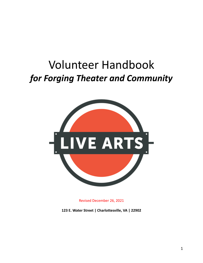# Volunteer Handbook *for Forging Theater and Community*



Revised December 26, 2021

**123 E. Water Street | Charlottesville, VA | 22902**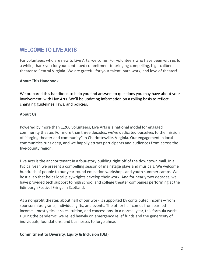## **WELCOME TO LIVE ARTS**

For volunteers who are new to Live Arts, welcome! For volunteers who have been with us for a while, thank you for your continued commitment to bringing compelling, high-caliber theater to Central Virginia! We are grateful for your talent, hard work, and love of theater!

#### **About This Handbook**

We prepared this handbook to help you find answers to questions you may have about your involvement with Live Arts. We'll be updating information on a rolling basis to reflect changing guidelines, laws, and policies.

#### **About Us**

Powered by more than 1,200 volunteers, Live Arts is a national model for engaged community theater. For more than three decades, we've dedicated ourselves to the mission of "forging theater and community" in Charlottesville, Virginia. Our engagement in local communities runs deep, and we happily attract participants and audiences from across the five-county region.

Live Arts is the anchor tenant in a four-story building right off of the downtown mall. In a typical year, we present a compelling season of mainstage plays and musicals. We welcome hundreds of people to our year-round education workshops and youth summer camps. We host a lab that helps local playwrights develop their work. And for nearly two decades, we have provided tech support to high school and college theater companies performing at the Edinburgh Festival Fringe in Scotland.

As a nonprofit theater, about half of our work is supported by contributed income—from sponsorships, grants, individual gifts, and events. The other half comes from earned income—mostly ticket sales, tuition, and concessions. In a normal year, this formula works. During the pandemic, we relied heavily on emergency relief funds and the generosity of individuals, foundations, and businesses to forge ahead.

#### **Commitment to Diversity, Equity & Inclusion (DEI)**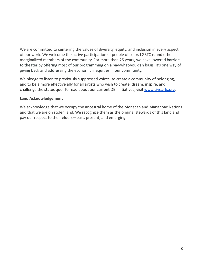We are committed to centering the values of diversity, equity, and inclusion in every aspect of our work. We welcome the active participation of people of color, LGBTQ+, and other marginalized members of the community. For more than 25 years, we have lowered barriers to theater by offering most of our programming on a pay-what-you-can basis. It's one way of giving back and addressing the economic inequities in our community.

We pledge to listen to previously suppressed voices, to create a community of belonging, and to be a more effective ally for all artists who wish to create, dream, inspire, and challenge the status quo. To read about our current DEI initiatives, visit [www.Livearts.org](http://www.livearts.org).

#### **Land Acknowledgement**

We acknowledge that we occupy the ancestral home of the Monacan and Manahoac Nations and that we are on stolen land. We recognize them as the original stewards of this land and pay our respect to their elders—past, present, and emerging.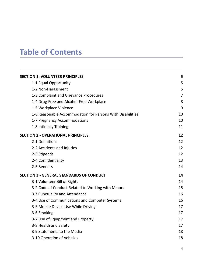## **Table of Contents**

| <b>SECTION 1: VOLUNTEER PRINCIPLES</b>                     | 5              |
|------------------------------------------------------------|----------------|
| 1-1 Equal Opportunity                                      | 5              |
| 1-2 Non-Harassment                                         | 5              |
| 1-3 Complaint and Grievance Procedures                     | $\overline{7}$ |
| 1-4 Drug-Free and Alcohol-Free Workplace                   | 8              |
| 1-5 Workplace Violence                                     | 9              |
| 1-6 Reasonable Accommodation for Persons With Disabilities | 10             |
| 1-7 Pregnancy Accommodations                               | 10             |
| 1-8 Intimacy Training                                      | 11             |
| <b>SECTION 2 - OPERATIONAL PRINCIPLES</b>                  | 12             |
| 2-1 Definitions                                            | 12             |
| 2-2 Accidents and Injuries                                 | 12             |
| 2-3 Stipends                                               | 12             |
| 2-4 Confidentiality                                        | 13             |
| 2-5 Benefits                                               | 14             |
| <b>SECTION 3 - GENERAL STANDARDS OF CONDUCT</b>            | 14             |
| 3-1 Volunteer Bill of Rights                               | 14             |
| 3-2 Code of Conduct Related to Working with Minors         | 15             |
| 3.3 Punctuality and Attendance                             | 16             |
| 3-4 Use of Communications and Computer Systems             | 16             |
| 3-5 Mobile Device Use While Driving                        | 17             |
| 3-6 Smoking                                                | 17             |
| 3-7 Use of Equipment and Property                          | 17             |
| 3-8 Health and Safety                                      | 17             |
| 3-9 Statements to the Media                                | 18             |
| 3-10 Operation of Vehicles                                 | 18             |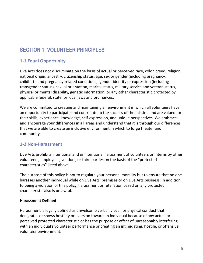## <span id="page-4-0"></span>**SECTION 1: VOLUNTEER PRINCIPLES**

#### <span id="page-4-1"></span>**1-1 Equal Opportunity**

Live Arts does not discriminate on the basis of actual or perceived race, color, creed, religion, national origin, ancestry, citizenship status, age, sex or gender (including pregnancy, childbirth and pregnancy-related conditions), gender identity or expression (including transgender status), sexual orientation, marital status, military service and veteran status, physical or mental disability, genetic information, or any other characteristic protected by applicable federal, state, or local laws and ordinances.

We are committed to creating and maintaining an environment in which all volunteers have an opportunity to participate and contribute to the success of the mission and are valued for their skills, experience, knowledge, self-expression, and unique perspectives. We embrace and encourage your differences in all areas and understand that it is through our differences that we are able to create an inclusive environment in which to forge theater and community.

#### <span id="page-4-2"></span>**1-2 Non-Harassment**

Live Arts prohibits intentional and unintentional harassment of volunteers or interns by other volunteers, employees, vendors, or third parties on the basis of the "protected characteristics" listed above.

The purpose of this policy is not to regulate your personal morality but to ensure that no one harasses another individual while on Live Arts' premises or on Live Arts business. In addition to being a violation of this policy, harassment or retaliation based on any protected characteristic also is unlawful.

#### **Harassment Defined**

Harassment is legally defined as unwelcome verbal, visual, or physical conduct that denigrates or shows hostility or aversion toward an individual because of any actual or perceived protected characteristic or has the purpose or effect of unreasonably interfering with an individual's volunteer performance or creating an intimidating, hostile, or offensive volunteer environment.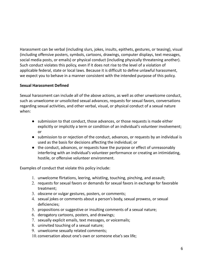Harassment can be verbal (including slurs, jokes, insults, epithets, gestures, or teasing), visual (including offensive posters, symbols, cartoons, drawings, computer displays, text messages, social media posts, or emails) or physical conduct (including physically threatening another). Such conduct violates this policy, even if it does not rise to the level of a violation of applicable federal, state or local laws. Because it is difficult to define unlawful harassment, we expect you to behave in a manner consistent with the intended purpose of this policy.

#### **Sexual Harassment Defined**

Sexual harassment can include all of the above actions, as well as other unwelcome conduct, such as unwelcome or unsolicited sexual advances, requests for sexual favors, conversations regarding sexual activities, and other verbal, visual, or physical conduct of a sexual nature when:

- submission to that conduct, those advances, or those requests is made either explicitly or implicitly a term or condition of an individual's volunteer involvement; or
- submission to or rejection of the conduct, advances, or requests by an individual is used as the basis for decisions affecting the individual; or
- the conduct, advances, or requests have the purpose or effect of unreasonably interfering with an individual's volunteer performance or creating an intimidating, hostile, or offensive volunteer environment.

Examples of conduct that violate this policy include:

- 1. unwelcome flirtations, leering, whistling, touching, pinching, and assault;
- 2. requests for sexual favors or demands for sexual favors in exchange for favorable treatment;
- 3. obscene or vulgar gestures, posters, or comments;
- 4. sexual jokes or comments about a person's body, sexual prowess, or sexual deficiencies;
- 5. propositions or suggestive or insulting comments of a sexual nature;
- 6. derogatory cartoons, posters, and drawings;
- 7. sexually explicit emails, text messages, or voicemails;
- 8. uninvited touching of a sexual nature;
- 9. unwelcome sexually related comments;
- 10. conversation about one's own or someone else's sex life;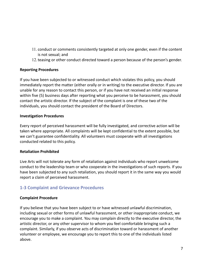- 11. conduct or comments consistently targeted at only one gender, even if the content is not sexual; and
- 12.teasing or other conduct directed toward a person because of the person's gender.

#### **Reporting Procedures**

If you have been subjected to or witnessed conduct which violates this policy, you should immediately report the matter (either orally or in writing) to the executive director. If you are unable for any reason to contact this person, or if you have not received an initial response within five (5) business days after reporting what you perceive to be harassment, you should contact the artistic director. If the subject of the complaint is one of these two of the individuals, you should contact the president of the Board of Directors.

#### **Investigation Procedures**

Every report of perceived harassment will be fully investigated, and corrective action will be taken where appropriate. All complaints will be kept confidential to the extent possible, but we can't guarantee confidentiality. All volunteers must cooperate with all investigations conducted related to this policy.

#### **Retaliation Prohibited**

Live Arts will not tolerate any form of retaliation against individuals who report unwelcome conduct to the leadership team or who cooperate in the investigations of such reports. If you have been subjected to any such retaliation, you should report it in the same way you would report a claim of perceived harassment.

#### <span id="page-6-0"></span>**1-3 Complaint and Grievance Procedures**

#### **Complaint Procedure**

If you believe that you have been subject to or have witnessed unlawful discrimination, including sexual or other forms of unlawful harassment, or other inappropriate conduct, we encourage you to make a complaint. You may complain directly to the executive director, the artistic director, or any other supervisor to whom you feel comfortable bringing such a complaint. Similarly, if you observe acts of discrimination toward or harassment of another volunteer or employee, we encourage you to report this to one of the individuals listed above.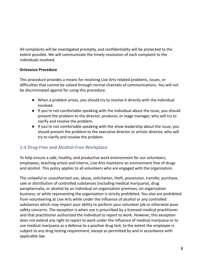All complaints will be investigated promptly, and confidentiality will be protected to the extent possible. We will communicate the timely resolution of each complaint to the individuals involved.

#### **Grievance Procedure**

This procedure provides a means for resolving Live Arts-related problems, issues, or difficulties that cannot be solved through normal channels of communications. You will not be discriminated against for using this procedure.

- When a problem arises, you should try to resolve it directly with the individual involved.
- If you're not comfortable speaking with the individual about the issue, you should present the problem to the director, producer, or stage manager, who will try to clarify and resolve the problem.
- If you're not comfortable speaking with the show leadership about the issue, you should present the problem to the executive director or artistic director, who will try to clarify and resolve the problem.

#### <span id="page-7-0"></span>**1-4 Drug-Free and Alcohol-Free Workplace**

To help ensure a safe, healthy, and productive work environment for our volunteers, employees, teaching artists and interns, Live Arts maintains an environment free of drugs and alcohol. This policy applies to all volunteers who are engaged with the organization.

The unlawful or unauthorized use, abuse, solicitation, theft, possession, transfer, purchase, sale or distribution of controlled substances (including medical marijuana), drug paraphernalia, or alcohol by an individual on organization premises, on organization business, or while representing the organization is strictly prohibited. You also are prohibited from volunteering at Live Arts while under the influence of alcohol or any controlled substances which may impact your ability to perform your volunteer job or otherwise pose safety concerns. The exception is when use is prescribed by a licensed medical practitioner and that practitioner authorized the individual to report to work. However, this exception does not extend any right to report to work under the influence of medical marijuana or to use medical marijuana as a defense to a positive drug test, to the extent the employee is subject to any drug testing requirement, except as permitted by and in accordance with applicable law.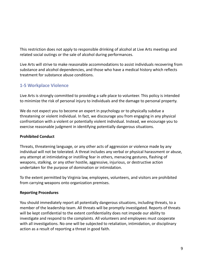This restriction does not apply to responsible drinking of alcohol at Live Arts meetings and related social outings or the sale of alcohol during performances.

Live Arts will strive to make reasonable accommodations to assist individuals recovering from substance and alcohol dependencies, and those who have a medical history which reflects treatment for substance abuse conditions.

#### **1-5 Workplace Violence**

Live Arts is strongly committed to providing a safe place to volunteer. This policy is intended to minimize the risk of personal injury to individuals and the damage to personal property.

We do not expect you to become an expert in psychology or to physically subdue a threatening or violent individual. In fact, we discourage you from engaging in any physical confrontation with a violent or potentially violent individual. Instead, we encourage you to exercise reasonable judgment in identifying potentially dangerous situations.

#### **Prohibited Conduct**

Threats, threatening language, or any other acts of aggression or violence made by any individual will not be tolerated. A threat includes any verbal or physical harassment or abuse, any attempt at intimidating or instilling fear in others, menacing gestures, flashing of weapons, stalking, or any other hostile, aggressive, injurious, or destructive action undertaken for the purpose of domination or intimidation.

To the extent permitted by Virginia law, employees, volunteers, and visitors are prohibited from carrying weapons onto organization premises.

#### **Reporting Procedures**

You should immediately report all potentially dangerous situations, including threats, to a member of the leadership team. All threats will be promptly investigated. Reports of threats will be kept confidential to the extent confidentiality does not impede our ability to investigate and respond to the complaints. All volunteers and employees must cooperate with all investigations. No one will be subjected to retaliation, intimidation, or disciplinary action as a result of reporting a threat in good faith.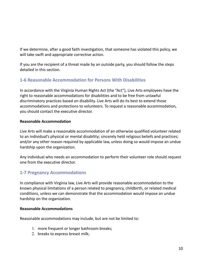If we determine, after a good faith investigation, that someone has violated this policy, we will take swift and appropriate corrective action.

If you are the recipient of a threat made by an outside party, you should follow the steps detailed in this section.

#### <span id="page-9-0"></span>**1-6 Reasonable Accommodation for Persons With Disabilities**

In accordance with the Virginia Human Rights Act (the "Act"), Live Arts employees have the right to reasonable accommodations for disabilities and to be free from unlawful discriminatory practices based on disability. Live Arts will do its best to extend those accommodations and protections to volunteers. To request a reasonable accommodation, you should contact the executive director.

#### **Reasonable Accommodation**

Live Arts will make a reasonable accommodation of an otherwise qualified volunteer related to an individual's physical or mental disability; sincerely held religious beliefs and practices; and/or any other reason required by applicable law, unless doing so would impose an undue hardship upon the organization.

Any individual who needs an accommodation to perform their volunteer role should request one from the executive director.

#### <span id="page-9-1"></span>**1-7 Pregnancy Accommodations**

In compliance with Virginia law, Live Arts will provide reasonable accommodation to the known physical limitations of a person related to pregnancy, childbirth, or related medical conditions, unless we can demonstrate that the accommodation would impose an undue hardship on the organization.

#### **Reasonable Accommodations**

Reasonable accommodations may include, but are not be limited to:

- 1. more frequent or longer bathroom breaks;
- 2. breaks to express breast milk;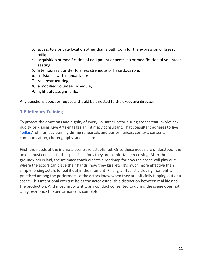- 3. access to a private location other than a bathroom for the expression of breast milk;
- 4. acquisition or modification of equipment or access to or modification of volunteer seating;
- 5. a temporary transfer to a less strenuous or hazardous role;
- 6. assistance with manual labor;
- 7. role restructuring;
- 8. a modified volunteer schedule;
- 9. light duty assignments.

Any questions about or requests should be directed to the executive director.

#### **1-8 Intimacy Training**

To protect the emotions and dignity of every volunteer actor during scenes that involve sex, nudity, or kissing, Live Arts engages an intimacy consultant. That consultant adheres to five ["pillars"](https://a0f2ed64-0969-4c12-9638-ffdc561fb109.filesusr.com/ugd/924101_2e8c624bcf394166bc0443c1f35efe1d.pdf) of intimacy training during rehearsals and performances: context, consent, communication, choreography, and closure.

First, the needs of the intimate scene are established. Once these needs are understood, the actors must consent to the specific actions they are comfortable receiving. After the groundwork is laid, the intimacy coach creates a roadmap for how the scene will play out: where the actors can place their hands, how they kiss, etc. It's much more effective than simply forcing actors to feel it out in the moment. Finally, a ritualistic closing moment is practiced among the performers so the actors know when they are officially tapping out of a scene. This intentional exercise helps the actor establish a distinction between real life and the production. And most importantly, any conduct consented to during the scene does not carry over once the performance is complete.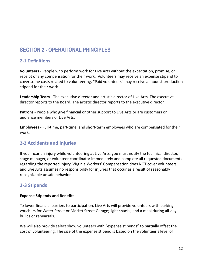## <span id="page-11-0"></span>**SECTION 2 - OPERATIONAL PRINCIPLES**

#### <span id="page-11-1"></span>**2-1 Definitions**

**Volunteers** - People who perform work for Live Arts without the expectation, promise, or receipt of any compensation for their work. Volunteers may receive an expense stipend to cover some costs related to volunteering. "Paid volunteers" may receive a modest production stipend for their work.

**Leadership Team** - The executive director and artistic director of Live Arts. The executive director reports to the Board. The artistic director reports to the executive director.

**Patrons** - People who give financial or other support to Live Arts or are customers or audience members of Live Arts.

**Employees** - Full-time, part-time, and short-term employees who are compensated for their work.

#### <span id="page-11-2"></span>**2-2 Accidents and Injuries**

If you incur an injury while volunteering at Live Arts, you must notify the technical director, stage manager, or volunteer coordinator immediately and complete all requested documents regarding the reported injury. Virginia Workers' Compensation does NOT cover volunteers, and Live Arts assumes no responsibility for injuries that occur as a result of reasonably recognizable unsafe behaviors.

#### **2-3 Stipends**

#### **Expense Stipends and Benefits**

To lower financial barriers to participation, Live Arts will provide volunteers with parking vouchers for Water Street or Market Street Garage; light snacks; and a meal during all-day builds or rehearsals.

We will also provide select show volunteers with "expense stipends" to partially offset the cost of volunteering. The size of the expense stipend is based on the volunteer's level of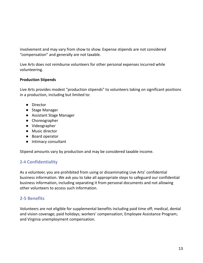involvement and may vary from show to show. Expense stipends are not considered "compensation" and generally are not taxable.

Live Arts does not reimburse volunteers for other personal expenses incurred while volunteering.

#### **Production Stipends**

Live Arts provides modest "production stipends" to volunteers taking on significant positions in a production, including but limited to:

- Director
- Stage Manager
- Assistant Stage Manager
- Choreographer
- Videographer
- Music director
- Board operator
- Intimacy consultant

Stipend amounts vary by production and may be considered taxable income.

#### **2-4 Confidentiality**

As a volunteer, you are prohibited from using or disseminating Live Arts' confidential business information. We ask you to take all appropriate steps to safeguard our confidential business information, including separating it from personal documents and not allowing other volunteers to access such information.

#### <span id="page-12-0"></span>**2-5 Benefits**

Volunteers are not eligible for supplemental benefits including paid time off; medical, dental and vision coverage; paid holidays; workers' compensation; Employee Assistance Program; and Virginia unemployment compensation.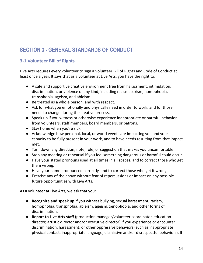## <span id="page-13-0"></span>**SECTION 3 - GENERAL STANDARDS OF CONDUCT**

#### <span id="page-13-1"></span>**3-1 Volunteer Bill of Rights**

Live Arts requires every volunteer to sign a Volunteer Bill of Rights and Code of Conduct at least once a year. It says that as a volunteer at Live Arts, you have the right to:

- A safe and supportive creative environment free from harassment, intimidation, discrimination, or violence of any kind, including racism, sexism, homophobia, transphobia, ageism, and ableism.
- Be treated as a whole person, and with respect.
- Ask for what you emotionally and physically need in order to work, and for those needs to change during the creative process.
- Speak up if you witness or otherwise experience inappropriate or harmful behavior from volunteers, staff members, board members, or patrons.
- Stay home when you're sick.
- Acknowledge how personal, local, or world events are impacting you and your capacity to be fully present in your work, and to have needs resulting from that impact met.
- Turn down any direction, note, role, or suggestion that makes you uncomfortable.
- Stop any meeting or rehearsal if you feel something dangerous or harmful could occur.
- Have your stated pronouns used at all times in all spaces, and to correct those who get them wrong.
- Have your name pronounced correctly, and to correct those who get it wrong.
- Exercise any of the above without fear of repercussions or impact on any possible future opportunities with Live Arts.

As a volunteer at Live Arts, we ask that you:

- **Recognize and speak up** if you witness bullying, sexual harassment, racism, homophobia, transphobia, ableism, ageism, xenophobia, and other forms of discrimination.
- **Report to Live Arts staff** (production manager/volunteer coordinator, education director, artistic director and/or executive director) if you experience or encounter discrimination, harassment, or other oppressive behaviors (such as inappropriate physical contact, inappropriate language, dismissive and/or disrespectful behaviors). If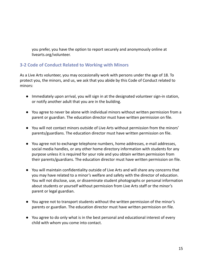you prefer, you have the option to report securely and anonymously online at livearts.org/volunteer.

#### **3-2 Code of Conduct Related to Working with Minors**

As a Live Arts volunteer, you may occasionally work with persons under the age of 18. To protect you, the minors, and us, we ask that you abide by this Code of Conduct related to minors:

- Immediately upon arrival, you will sign in at the designated volunteer sign-in station, or notify another adult that you are in the building.
- You agree to never be alone with individual minors without written permission from a parent or guardian. The education director must have written permission on file.
- You will not contact minors outside of Live Arts without permission from the minors' parents/guardians. The education director must have written permission on file.
- You agree not to exchange telephone numbers, home addresses, e-mail addresses, social media handles, or any other home directory information with students for any purpose unless it is required for your role and you obtain written permission from their parents/guardians. The education director must have written permission on file.
- You will maintain confidentiality outside of Live Arts and will share any concerns that you may have related to a minor's welfare and safety with the director of education. You will not disclose, use, or disseminate student photographs or personal information about students or yourself without permission from Live Arts staff or the minor's parent or legal guardian.
- You agree not to transport students without the written permission of the minor's parents or guardian. The education director must have written permission on file.
- You agree to do only what is in the best personal and educational interest of every child with whom you come into contact.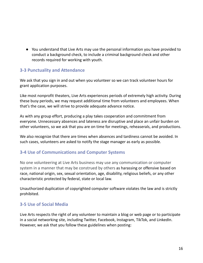● You understand that Live Arts may use the personal information you have provided to conduct a background check, to include a criminal background check and other records required for working with youth.

#### <span id="page-15-0"></span>**3-3 Punctuality and Attendance**

We ask that you sign in and out when you volunteer so we can track volunteer hours for grant application purposes.

Like most nonprofit theaters, Live Arts experiences periods of extremely high activity. During these busy periods, we may request additional time from volunteers and employees. When that's the case, we will strive to provide adequate advance notice.

As with any group effort, producing a play takes cooperation and commitment from everyone. Unnecessary absences and lateness are disruptive and place an unfair burden on other volunteers, so we ask that you are on time for meetings, reheaserals, and productions.

We also recognize that there are times when absences and tardiness cannot be avoided. In such cases, volunteers are asked to notify the stage manager as early as possible.

#### <span id="page-15-1"></span>**3-4 Use of Communications and Computer Systems**

No one volunteering at Live Arts business may use any communication or computer system in a manner that may be construed by others as harassing or offensive based on race, national origin, sex, sexual orientation, age, disability, religious beliefs, or any other characteristic protected by federal, state or local law.

Unauthorized duplication of copyrighted computer software violates the law and is strictly prohibited.

#### **3-5 Use of Social Media**

Live Arts respects the right of any volunteer to maintain a blog or web page or to participate in a social networking site, including Twitter, Facebook, Instagram, TikTok, and LinkedIn. However, we ask that you follow these guidelines when posting: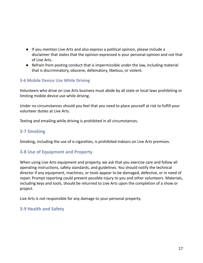- If you mention Live Arts and also express a political opinion, please include a disclaimer that states that the opinion expressed is your personal opinion and not that of Live Arts.
- Refrain from posting conduct that is impermissible under the law, including material that is discriminatory, obscene, defamatory, libelous, or violent.

#### <span id="page-16-0"></span>**3-6 Mobile Device Use While Driving**

Volunteers who drive on Live Arts business must abide by all state or local laws prohibiting or limiting mobile device use while driving.

Under no circumstances should you feel that you need to place yourself at risk to fulfill your volunteer duties at Live Arts.

Texting and emailing while driving is prohibited in all circumstances.

#### <span id="page-16-1"></span>**3-7 Smoking**

Smoking, including the use of e-cigarettes, is prohibited indoors on Live Arts premises.

#### <span id="page-16-2"></span>**3-8 Use of Equipment and Property**

When using Live Arts equipment and property, we ask that you exercise care and follow all operating instructions, safety standards, and guidelines. You should notify the technical director if any equipment, machines, or tools appear to be damaged, defective, or in need of repair. Prompt reporting could prevent possible injury to you and other volunteers. Materials, including keys and tools, should be returned to Live Arts upon the completion of a show or project.

Live Arts is not responsible for any damage to your personal property.

#### **3-9 Health and Safety**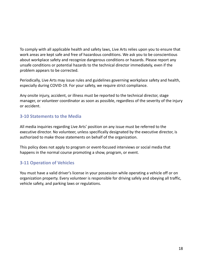To comply with all applicable health and safety laws, Live Arts relies upon you to ensure that work areas are kept safe and free of hazardous conditions. We ask you to be conscientious about workplace safety and recognize dangerous conditions or hazards. Please report any unsafe conditions or potential hazards to the technical director immediately, even if the problem appears to be corrected.

Periodically, Live Arts may issue rules and guidelines governing workplace safety and health, especially during COVID-19. For your safety, we require strict compliance.

Any onsite injury, accident, or illness must be reported to the technical director, stage manager, or volunteer coordinator as soon as possible, regardless of the severity of the injury or accident.

#### **3-10 Statements to the Media**

All media inquiries regarding Live Arts' position on any issue must be referred to the executive director. No volunteer, unless specifically designated by the executive director, is authorized to make those statements on behalf of the organization.

This policy does not apply to program or event-focused interviews or social media that happens in the normal course promoting a show, program, or event.

#### <span id="page-17-0"></span>**3-11 Operation of Vehicles**

You must have a valid driver's license in your possession while operating a vehicle off or on organization property. Every volunteer is responsible for driving safely and obeying all traffic, vehicle safety, and parking laws or regulations.